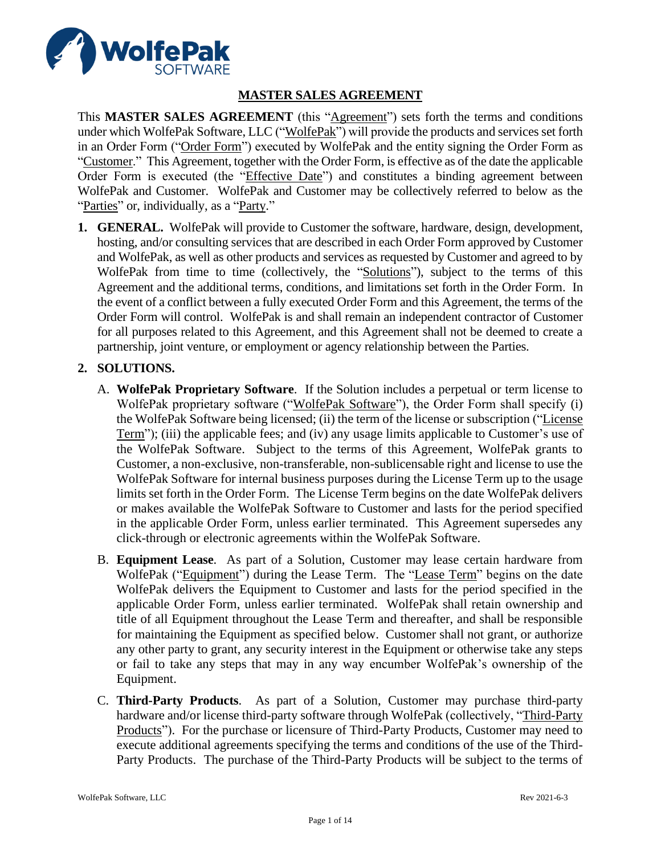

# **MASTER SALES AGREEMENT**

This **MASTER SALES AGREEMENT** (this "Agreement") sets forth the terms and conditions under which WolfePak Software, LLC ("WolfePak") will provide the products and services set forth in an Order Form ("Order Form") executed by WolfePak and the entity signing the Order Form as "Customer." This Agreement, together with the Order Form, is effective as of the date the applicable Order Form is executed (the "*Effective Date*") and constitutes a binding agreement between WolfePak and Customer. WolfePak and Customer may be collectively referred to below as the "Parties" or, individually, as a "Party."

**1. GENERAL.** WolfePak will provide to Customer the software, hardware, design, development, hosting, and/or consulting services that are described in each Order Form approved by Customer and WolfePak, as well as other products and services as requested by Customer and agreed to by WolfePak from time to time (collectively, the "Solutions"), subject to the terms of this Agreement and the additional terms, conditions, and limitations set forth in the Order Form. In the event of a conflict between a fully executed Order Form and this Agreement, the terms of the Order Form will control. WolfePak is and shall remain an independent contractor of Customer for all purposes related to this Agreement, and this Agreement shall not be deemed to create a partnership, joint venture, or employment or agency relationship between the Parties.

#### **2. SOLUTIONS.**

- A. **WolfePak Proprietary Software**. If the Solution includes a perpetual or term license to WolfePak proprietary software ("WolfePak Software"), the Order Form shall specify (i) the WolfePak Software being licensed; (ii) the term of the license or subscription ("License Term"); (iii) the applicable fees; and (iv) any usage limits applicable to Customer's use of the WolfePak Software. Subject to the terms of this Agreement, WolfePak grants to Customer, a non-exclusive, non-transferable, non-sublicensable right and license to use the WolfePak Software for internal business purposes during the License Term up to the usage limits set forth in the Order Form. The License Term begins on the date WolfePak delivers or makes available the WolfePak Software to Customer and lasts for the period specified in the applicable Order Form, unless earlier terminated. This Agreement supersedes any click-through or electronic agreements within the WolfePak Software.
- B. **Equipment Lease**. As part of a Solution, Customer may lease certain hardware from WolfePak ("Equipment") during the Lease Term. The "Lease Term" begins on the date WolfePak delivers the Equipment to Customer and lasts for the period specified in the applicable Order Form, unless earlier terminated. WolfePak shall retain ownership and title of all Equipment throughout the Lease Term and thereafter, and shall be responsible for maintaining the Equipment as specified below. Customer shall not grant, or authorize any other party to grant, any security interest in the Equipment or otherwise take any steps or fail to take any steps that may in any way encumber WolfePak's ownership of the Equipment.
- C. **Third-Party Products**. As part of a Solution, Customer may purchase third-party hardware and/or license third-party software through WolfePak (collectively, "Third-Party Products"). For the purchase or licensure of Third-Party Products, Customer may need to execute additional agreements specifying the terms and conditions of the use of the Third-Party Products. The purchase of the Third-Party Products will be subject to the terms of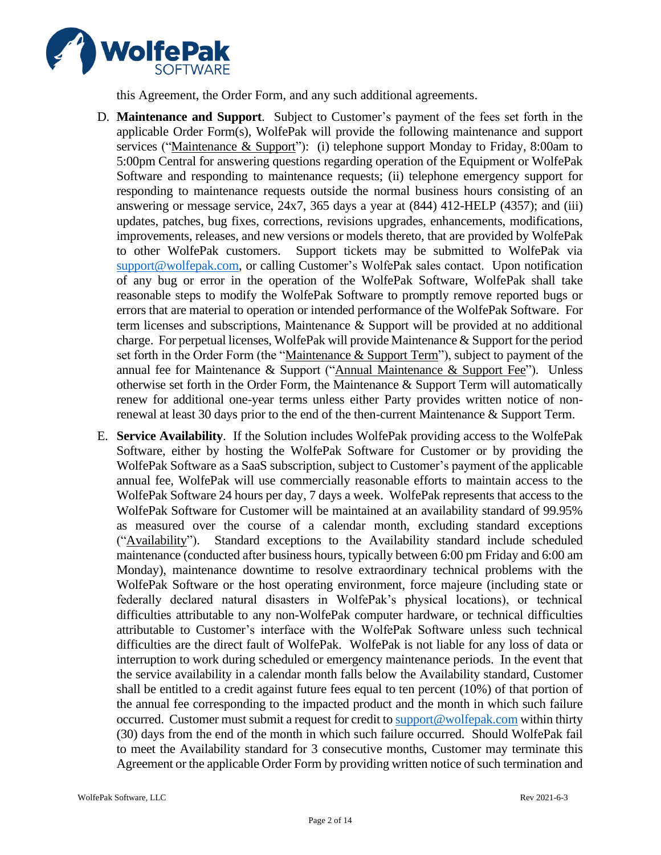

this Agreement, the Order Form, and any such additional agreements.

- D. **Maintenance and Support**. Subject to Customer's payment of the fees set forth in the applicable Order Form(s), WolfePak will provide the following maintenance and support services ("Maintenance & Support"): (i) telephone support Monday to Friday, 8:00am to 5:00pm Central for answering questions regarding operation of the Equipment or WolfePak Software and responding to maintenance requests; (ii) telephone emergency support for responding to maintenance requests outside the normal business hours consisting of an answering or message service, 24x7, 365 days a year at (844) 412-HELP (4357); and (iii) updates, patches, bug fixes, corrections, revisions upgrades, enhancements, modifications, improvements, releases, and new versions or models thereto, that are provided by WolfePak to other WolfePak customers. Support tickets may be submitted to WolfePak via [support@wolfepak.com,](mailto:support@wolfepak.com) or calling Customer's WolfePak sales contact. Upon notification of any bug or error in the operation of the WolfePak Software, WolfePak shall take reasonable steps to modify the WolfePak Software to promptly remove reported bugs or errors that are material to operation or intended performance of the WolfePak Software. For term licenses and subscriptions, Maintenance & Support will be provided at no additional charge. For perpetual licenses, WolfePak will provide Maintenance & Support for the period set forth in the Order Form (the "Maintenance & Support Term"), subject to payment of the annual fee for Maintenance & Support ("Annual Maintenance & Support Fee"). Unless otherwise set forth in the Order Form, the Maintenance & Support Term will automatically renew for additional one-year terms unless either Party provides written notice of nonrenewal at least 30 days prior to the end of the then-current Maintenance & Support Term.
- E. **Service Availability**. If the Solution includes WolfePak providing access to the WolfePak Software, either by hosting the WolfePak Software for Customer or by providing the WolfePak Software as a SaaS subscription, subject to Customer's payment of the applicable annual fee, WolfePak will use commercially reasonable efforts to maintain access to the WolfePak Software 24 hours per day, 7 days a week. WolfePak represents that access to the WolfePak Software for Customer will be maintained at an availability standard of 99.95% as measured over the course of a calendar month, excluding standard exceptions ("Availability"). Standard exceptions to the Availability standard include scheduled maintenance (conducted after business hours, typically between 6:00 pm Friday and 6:00 am Monday), maintenance downtime to resolve extraordinary technical problems with the WolfePak Software or the host operating environment, force majeure (including state or federally declared natural disasters in WolfePak's physical locations), or technical difficulties attributable to any non-WolfePak computer hardware, or technical difficulties attributable to Customer's interface with the WolfePak Software unless such technical difficulties are the direct fault of WolfePak. WolfePak is not liable for any loss of data or interruption to work during scheduled or emergency maintenance periods. In the event that the service availability in a calendar month falls below the Availability standard, Customer shall be entitled to a credit against future fees equal to ten percent (10%) of that portion of the annual fee corresponding to the impacted product and the month in which such failure occurred. Customer must submit a request for credit t[o support@wolfepak.com](mailto:support@wolfepak.com) within thirty (30) days from the end of the month in which such failure occurred. Should WolfePak fail to meet the Availability standard for 3 consecutive months, Customer may terminate this Agreement or the applicable Order Form by providing written notice of such termination and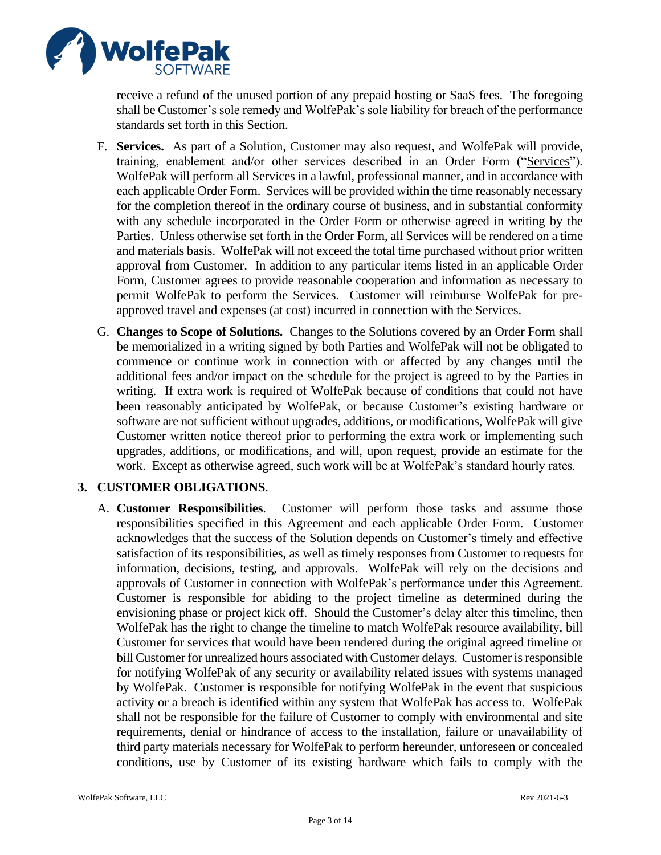

receive a refund of the unused portion of any prepaid hosting or SaaS fees. The foregoing shall be Customer's sole remedy and WolfePak's sole liability for breach of the performance standards set forth in this Section.

- F. **Services.** As part of a Solution, Customer may also request, and WolfePak will provide, training, enablement and/or other services described in an Order Form ("Services"). WolfePak will perform all Services in a lawful, professional manner, and in accordance with each applicable Order Form. Services will be provided within the time reasonably necessary for the completion thereof in the ordinary course of business, and in substantial conformity with any schedule incorporated in the Order Form or otherwise agreed in writing by the Parties. Unless otherwise set forth in the Order Form, all Services will be rendered on a time and materials basis. WolfePak will not exceed the total time purchased without prior written approval from Customer. In addition to any particular items listed in an applicable Order Form, Customer agrees to provide reasonable cooperation and information as necessary to permit WolfePak to perform the Services. Customer will reimburse WolfePak for preapproved travel and expenses (at cost) incurred in connection with the Services.
- G. **Changes to Scope of Solutions.** Changes to the Solutions covered by an Order Form shall be memorialized in a writing signed by both Parties and WolfePak will not be obligated to commence or continue work in connection with or affected by any changes until the additional fees and/or impact on the schedule for the project is agreed to by the Parties in writing. If extra work is required of WolfePak because of conditions that could not have been reasonably anticipated by WolfePak, or because Customer's existing hardware or software are not sufficient without upgrades, additions, or modifications, WolfePak will give Customer written notice thereof prior to performing the extra work or implementing such upgrades, additions, or modifications, and will, upon request, provide an estimate for the work. Except as otherwise agreed, such work will be at WolfePak's standard hourly rates.

# **3. CUSTOMER OBLIGATIONS**.

A. **Customer Responsibilities**. Customer will perform those tasks and assume those responsibilities specified in this Agreement and each applicable Order Form. Customer acknowledges that the success of the Solution depends on Customer's timely and effective satisfaction of its responsibilities, as well as timely responses from Customer to requests for information, decisions, testing, and approvals. WolfePak will rely on the decisions and approvals of Customer in connection with WolfePak's performance under this Agreement. Customer is responsible for abiding to the project timeline as determined during the envisioning phase or project kick off. Should the Customer's delay alter this timeline, then WolfePak has the right to change the timeline to match WolfePak resource availability, bill Customer for services that would have been rendered during the original agreed timeline or bill Customer for unrealized hours associated with Customer delays. Customer is responsible for notifying WolfePak of any security or availability related issues with systems managed by WolfePak. Customer is responsible for notifying WolfePak in the event that suspicious activity or a breach is identified within any system that WolfePak has access to. WolfePak shall not be responsible for the failure of Customer to comply with environmental and site requirements, denial or hindrance of access to the installation, failure or unavailability of third party materials necessary for WolfePak to perform hereunder, unforeseen or concealed conditions, use by Customer of its existing hardware which fails to comply with the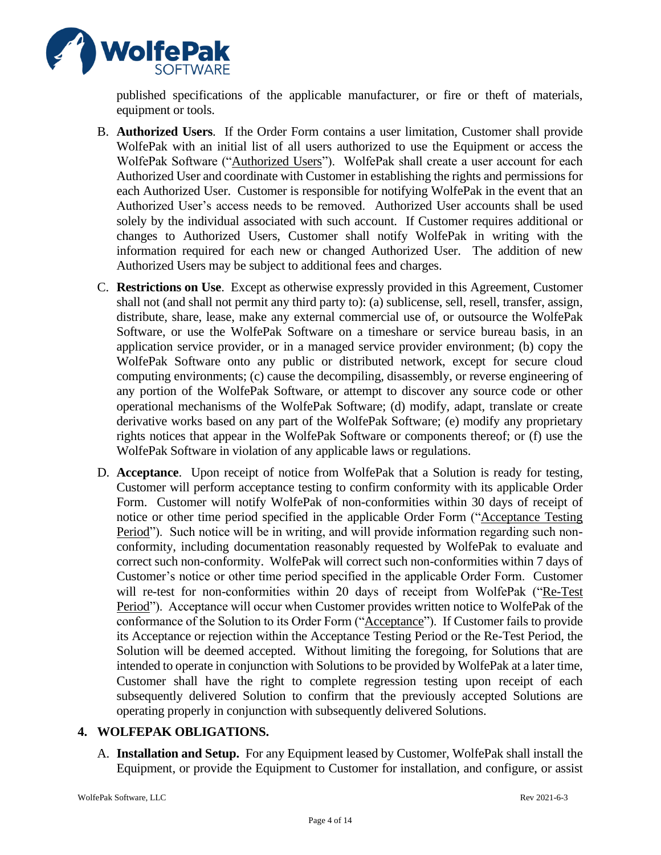

published specifications of the applicable manufacturer, or fire or theft of materials, equipment or tools.

- B. **Authorized Users**. If the Order Form contains a user limitation, Customer shall provide WolfePak with an initial list of all users authorized to use the Equipment or access the WolfePak Software ("Authorized Users"). WolfePak shall create a user account for each Authorized User and coordinate with Customer in establishing the rights and permissions for each Authorized User. Customer is responsible for notifying WolfePak in the event that an Authorized User's access needs to be removed. Authorized User accounts shall be used solely by the individual associated with such account. If Customer requires additional or changes to Authorized Users, Customer shall notify WolfePak in writing with the information required for each new or changed Authorized User. The addition of new Authorized Users may be subject to additional fees and charges.
- C. **Restrictions on Use**. Except as otherwise expressly provided in this Agreement, Customer shall not (and shall not permit any third party to): (a) sublicense, sell, resell, transfer, assign, distribute, share, lease, make any external commercial use of, or outsource the WolfePak Software, or use the WolfePak Software on a timeshare or service bureau basis, in an application service provider, or in a managed service provider environment; (b) copy the WolfePak Software onto any public or distributed network, except for secure cloud computing environments; (c) cause the decompiling, disassembly, or reverse engineering of any portion of the WolfePak Software, or attempt to discover any source code or other operational mechanisms of the WolfePak Software; (d) modify, adapt, translate or create derivative works based on any part of the WolfePak Software; (e) modify any proprietary rights notices that appear in the WolfePak Software or components thereof; or (f) use the WolfePak Software in violation of any applicable laws or regulations.
- D. **Acceptance**. Upon receipt of notice from WolfePak that a Solution is ready for testing, Customer will perform acceptance testing to confirm conformity with its applicable Order Form. Customer will notify WolfePak of non-conformities within 30 days of receipt of notice or other time period specified in the applicable Order Form ("Acceptance Testing Period"). Such notice will be in writing, and will provide information regarding such nonconformity, including documentation reasonably requested by WolfePak to evaluate and correct such non-conformity. WolfePak will correct such non-conformities within 7 days of Customer's notice or other time period specified in the applicable Order Form. Customer will re-test for non-conformities within 20 days of receipt from WolfePak ("Re-Test Period"). Acceptance will occur when Customer provides written notice to WolfePak of the conformance of the Solution to its Order Form ("Acceptance"). If Customer fails to provide its Acceptance or rejection within the Acceptance Testing Period or the Re-Test Period, the Solution will be deemed accepted. Without limiting the foregoing, for Solutions that are intended to operate in conjunction with Solutions to be provided by WolfePak at a later time, Customer shall have the right to complete regression testing upon receipt of each subsequently delivered Solution to confirm that the previously accepted Solutions are operating properly in conjunction with subsequently delivered Solutions.

# **4. WOLFEPAK OBLIGATIONS.**

A. **Installation and Setup.** For any Equipment leased by Customer, WolfePak shall install the Equipment, or provide the Equipment to Customer for installation, and configure, or assist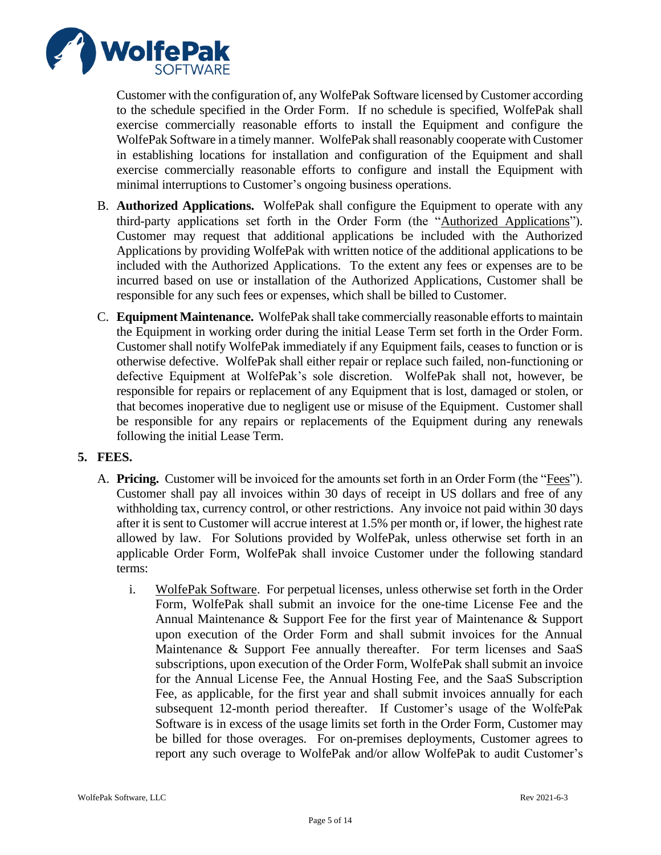

Customer with the configuration of, any WolfePak Software licensed by Customer according to the schedule specified in the Order Form. If no schedule is specified, WolfePak shall exercise commercially reasonable efforts to install the Equipment and configure the WolfePak Software in a timely manner. WolfePak shall reasonably cooperate with Customer in establishing locations for installation and configuration of the Equipment and shall exercise commercially reasonable efforts to configure and install the Equipment with minimal interruptions to Customer's ongoing business operations.

- B. **Authorized Applications.** WolfePak shall configure the Equipment to operate with any third-party applications set forth in the Order Form (the "Authorized Applications"). Customer may request that additional applications be included with the Authorized Applications by providing WolfePak with written notice of the additional applications to be included with the Authorized Applications. To the extent any fees or expenses are to be incurred based on use or installation of the Authorized Applications, Customer shall be responsible for any such fees or expenses, which shall be billed to Customer.
- C. **Equipment Maintenance.** WolfePak shall take commercially reasonable efforts to maintain the Equipment in working order during the initial Lease Term set forth in the Order Form. Customer shall notify WolfePak immediately if any Equipment fails, ceases to function or is otherwise defective. WolfePak shall either repair or replace such failed, non-functioning or defective Equipment at WolfePak's sole discretion. WolfePak shall not, however, be responsible for repairs or replacement of any Equipment that is lost, damaged or stolen, or that becomes inoperative due to negligent use or misuse of the Equipment. Customer shall be responsible for any repairs or replacements of the Equipment during any renewals following the initial Lease Term.

# **5. FEES.**

- A. **Pricing.** Customer will be invoiced for the amounts set forth in an Order Form (the "Fees"). Customer shall pay all invoices within 30 days of receipt in US dollars and free of any withholding tax, currency control, or other restrictions. Any invoice not paid within 30 days after it is sent to Customer will accrue interest at 1.5% per month or, if lower, the highest rate allowed by law. For Solutions provided by WolfePak, unless otherwise set forth in an applicable Order Form, WolfePak shall invoice Customer under the following standard terms:
	- i. WolfePak Software. For perpetual licenses, unless otherwise set forth in the Order Form, WolfePak shall submit an invoice for the one-time License Fee and the Annual Maintenance & Support Fee for the first year of Maintenance & Support upon execution of the Order Form and shall submit invoices for the Annual Maintenance & Support Fee annually thereafter. For term licenses and SaaS subscriptions, upon execution of the Order Form, WolfePak shall submit an invoice for the Annual License Fee, the Annual Hosting Fee, and the SaaS Subscription Fee, as applicable, for the first year and shall submit invoices annually for each subsequent 12-month period thereafter. If Customer's usage of the WolfePak Software is in excess of the usage limits set forth in the Order Form, Customer may be billed for those overages. For on-premises deployments, Customer agrees to report any such overage to WolfePak and/or allow WolfePak to audit Customer's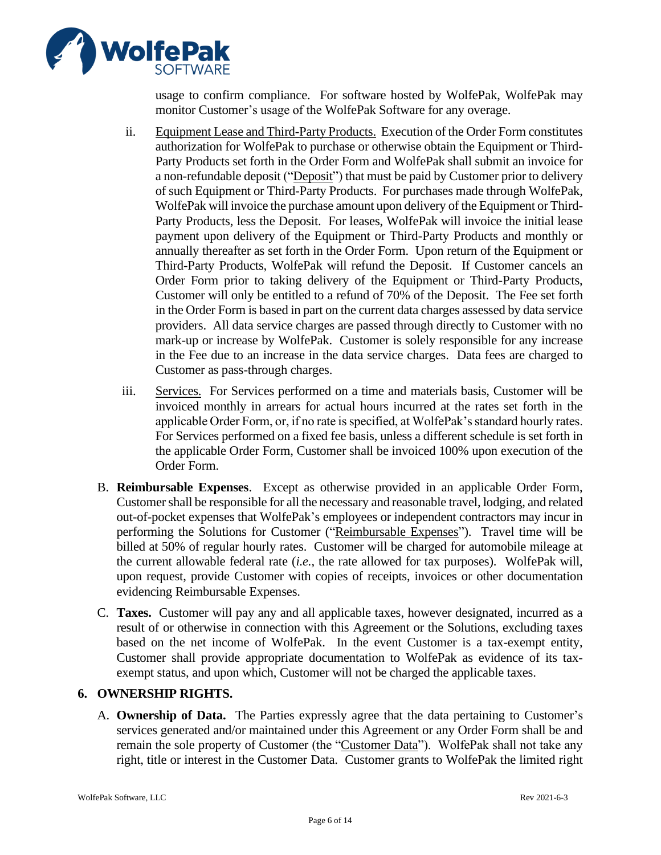

usage to confirm compliance. For software hosted by WolfePak, WolfePak may monitor Customer's usage of the WolfePak Software for any overage.

- ii. Equipment Lease and Third-Party Products. Execution of the Order Form constitutes authorization for WolfePak to purchase or otherwise obtain the Equipment or Third-Party Products set forth in the Order Form and WolfePak shall submit an invoice for a non-refundable deposit ("Deposit") that must be paid by Customer prior to delivery of such Equipment or Third-Party Products. For purchases made through WolfePak, WolfePak will invoice the purchase amount upon delivery of the Equipment or Third-Party Products, less the Deposit. For leases, WolfePak will invoice the initial lease payment upon delivery of the Equipment or Third-Party Products and monthly or annually thereafter as set forth in the Order Form. Upon return of the Equipment or Third-Party Products, WolfePak will refund the Deposit. If Customer cancels an Order Form prior to taking delivery of the Equipment or Third-Party Products, Customer will only be entitled to a refund of 70% of the Deposit. The Fee set forth in the Order Form is based in part on the current data charges assessed by data service providers. All data service charges are passed through directly to Customer with no mark-up or increase by WolfePak. Customer is solely responsible for any increase in the Fee due to an increase in the data service charges. Data fees are charged to Customer as pass-through charges.
- iii. Services. For Services performed on a time and materials basis, Customer will be invoiced monthly in arrears for actual hours incurred at the rates set forth in the applicable Order Form, or, if no rate is specified, at WolfePak's standard hourly rates. For Services performed on a fixed fee basis, unless a different schedule is set forth in the applicable Order Form, Customer shall be invoiced 100% upon execution of the Order Form.
- B. **Reimbursable Expenses**. Except as otherwise provided in an applicable Order Form, Customer shall be responsible for all the necessary and reasonable travel, lodging, and related out-of-pocket expenses that WolfePak's employees or independent contractors may incur in performing the Solutions for Customer ("Reimbursable Expenses"). Travel time will be billed at 50% of regular hourly rates. Customer will be charged for automobile mileage at the current allowable federal rate (*i.e.*, the rate allowed for tax purposes). WolfePak will, upon request, provide Customer with copies of receipts, invoices or other documentation evidencing Reimbursable Expenses.
- C. **Taxes.** Customer will pay any and all applicable taxes, however designated, incurred as a result of or otherwise in connection with this Agreement or the Solutions, excluding taxes based on the net income of WolfePak. In the event Customer is a tax-exempt entity, Customer shall provide appropriate documentation to WolfePak as evidence of its taxexempt status, and upon which, Customer will not be charged the applicable taxes.

# **6. OWNERSHIP RIGHTS.**

A. **Ownership of Data.** The Parties expressly agree that the data pertaining to Customer's services generated and/or maintained under this Agreement or any Order Form shall be and remain the sole property of Customer (the "Customer Data"). WolfePak shall not take any right, title or interest in the Customer Data. Customer grants to WolfePak the limited right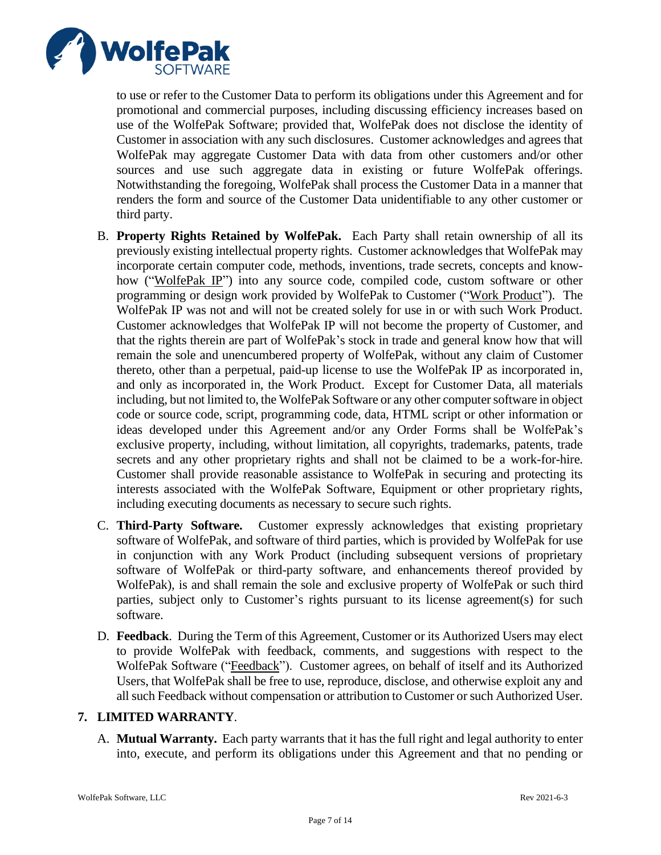

to use or refer to the Customer Data to perform its obligations under this Agreement and for promotional and commercial purposes, including discussing efficiency increases based on use of the WolfePak Software; provided that, WolfePak does not disclose the identity of Customer in association with any such disclosures. Customer acknowledges and agrees that WolfePak may aggregate Customer Data with data from other customers and/or other sources and use such aggregate data in existing or future WolfePak offerings. Notwithstanding the foregoing, WolfePak shall process the Customer Data in a manner that renders the form and source of the Customer Data unidentifiable to any other customer or third party.

- B. **Property Rights Retained by WolfePak.** Each Party shall retain ownership of all its previously existing intellectual property rights. Customer acknowledges that WolfePak may incorporate certain computer code, methods, inventions, trade secrets, concepts and knowhow ("WolfePak IP") into any source code, compiled code, custom software or other programming or design work provided by WolfePak to Customer ("Work Product"). The WolfePak IP was not and will not be created solely for use in or with such Work Product. Customer acknowledges that WolfePak IP will not become the property of Customer, and that the rights therein are part of WolfePak's stock in trade and general know how that will remain the sole and unencumbered property of WolfePak, without any claim of Customer thereto, other than a perpetual, paid-up license to use the WolfePak IP as incorporated in, and only as incorporated in, the Work Product. Except for Customer Data, all materials including, but not limited to, the WolfePak Software or any other computer software in object code or source code, script, programming code, data, HTML script or other information or ideas developed under this Agreement and/or any Order Forms shall be WolfePak's exclusive property, including, without limitation, all copyrights, trademarks, patents, trade secrets and any other proprietary rights and shall not be claimed to be a work-for-hire. Customer shall provide reasonable assistance to WolfePak in securing and protecting its interests associated with the WolfePak Software, Equipment or other proprietary rights, including executing documents as necessary to secure such rights.
- C. **Third-Party Software.** Customer expressly acknowledges that existing proprietary software of WolfePak, and software of third parties, which is provided by WolfePak for use in conjunction with any Work Product (including subsequent versions of proprietary software of WolfePak or third-party software, and enhancements thereof provided by WolfePak), is and shall remain the sole and exclusive property of WolfePak or such third parties, subject only to Customer's rights pursuant to its license agreement(s) for such software.
- D. **Feedback**. During the Term of this Agreement, Customer or its Authorized Users may elect to provide WolfePak with feedback, comments, and suggestions with respect to the WolfePak Software ("Feedback"). Customer agrees, on behalf of itself and its Authorized Users, that WolfePak shall be free to use, reproduce, disclose, and otherwise exploit any and all such Feedback without compensation or attribution to Customer or such Authorized User.

# **7. LIMITED WARRANTY**.

A. **Mutual Warranty.** Each party warrants that it has the full right and legal authority to enter into, execute, and perform its obligations under this Agreement and that no pending or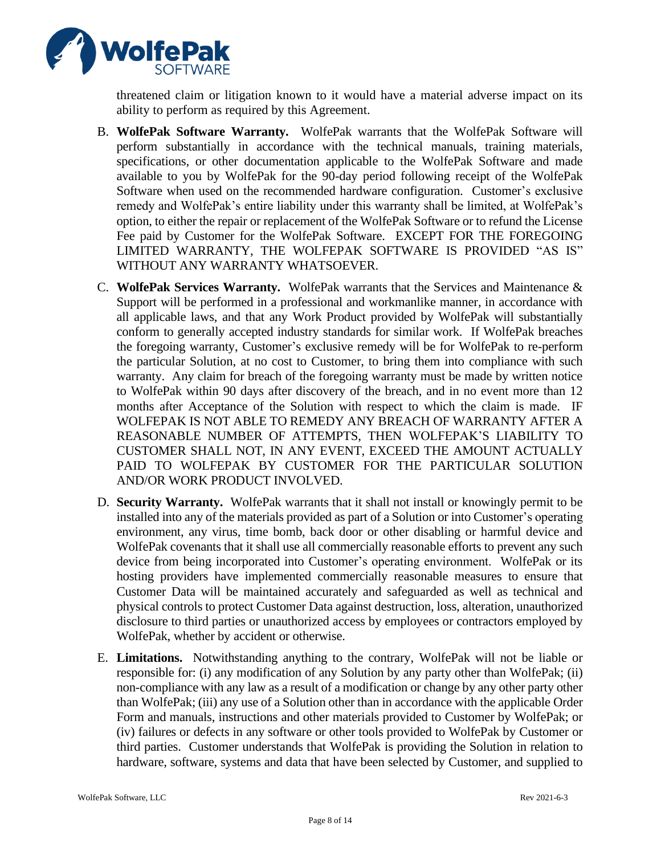

threatened claim or litigation known to it would have a material adverse impact on its ability to perform as required by this Agreement.

- B. **WolfePak Software Warranty.** WolfePak warrants that the WolfePak Software will perform substantially in accordance with the technical manuals, training materials, specifications, or other documentation applicable to the WolfePak Software and made available to you by WolfePak for the 90-day period following receipt of the WolfePak Software when used on the recommended hardware configuration. Customer's exclusive remedy and WolfePak's entire liability under this warranty shall be limited, at WolfePak's option, to either the repair or replacement of the WolfePak Software or to refund the License Fee paid by Customer for the WolfePak Software. EXCEPT FOR THE FOREGOING LIMITED WARRANTY, THE WOLFEPAK SOFTWARE IS PROVIDED "AS IS" WITHOUT ANY WARRANTY WHATSOEVER.
- C. **WolfePak Services Warranty.** WolfePak warrants that the Services and Maintenance & Support will be performed in a professional and workmanlike manner, in accordance with all applicable laws, and that any Work Product provided by WolfePak will substantially conform to generally accepted industry standards for similar work. If WolfePak breaches the foregoing warranty, Customer's exclusive remedy will be for WolfePak to re-perform the particular Solution, at no cost to Customer, to bring them into compliance with such warranty. Any claim for breach of the foregoing warranty must be made by written notice to WolfePak within 90 days after discovery of the breach, and in no event more than 12 months after Acceptance of the Solution with respect to which the claim is made. IF WOLFEPAK IS NOT ABLE TO REMEDY ANY BREACH OF WARRANTY AFTER A REASONABLE NUMBER OF ATTEMPTS, THEN WOLFEPAK'S LIABILITY TO CUSTOMER SHALL NOT, IN ANY EVENT, EXCEED THE AMOUNT ACTUALLY PAID TO WOLFEPAK BY CUSTOMER FOR THE PARTICULAR SOLUTION AND/OR WORK PRODUCT INVOLVED.
- D. **Security Warranty.** WolfePak warrants that it shall not install or knowingly permit to be installed into any of the materials provided as part of a Solution or into Customer's operating environment, any virus, time bomb, back door or other disabling or harmful device and WolfePak covenants that it shall use all commercially reasonable efforts to prevent any such device from being incorporated into Customer's operating environment. WolfePak or its hosting providers have implemented commercially reasonable measures to ensure that Customer Data will be maintained accurately and safeguarded as well as technical and physical controls to protect Customer Data against destruction, loss, alteration, unauthorized disclosure to third parties or unauthorized access by employees or contractors employed by WolfePak, whether by accident or otherwise.
- E. **Limitations.** Notwithstanding anything to the contrary, WolfePak will not be liable or responsible for: (i) any modification of any Solution by any party other than WolfePak; (ii) non-compliance with any law as a result of a modification or change by any other party other than WolfePak; (iii) any use of a Solution other than in accordance with the applicable Order Form and manuals, instructions and other materials provided to Customer by WolfePak; or (iv) failures or defects in any software or other tools provided to WolfePak by Customer or third parties. Customer understands that WolfePak is providing the Solution in relation to hardware, software, systems and data that have been selected by Customer, and supplied to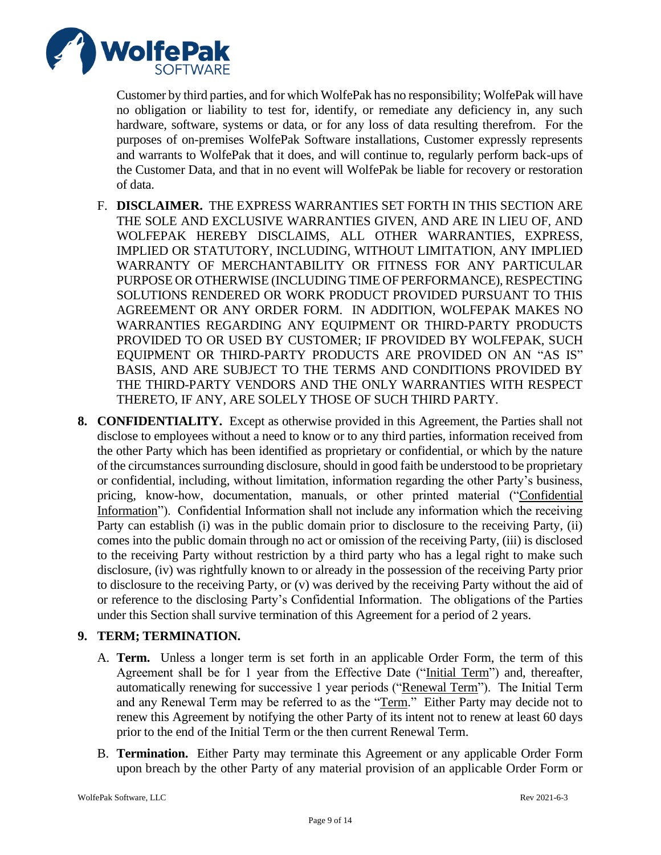

Customer by third parties, and for which WolfePak has no responsibility; WolfePak will have no obligation or liability to test for, identify, or remediate any deficiency in, any such hardware, software, systems or data, or for any loss of data resulting therefrom. For the purposes of on-premises WolfePak Software installations, Customer expressly represents and warrants to WolfePak that it does, and will continue to, regularly perform back-ups of the Customer Data, and that in no event will WolfePak be liable for recovery or restoration of data.

- F. **DISCLAIMER.** THE EXPRESS WARRANTIES SET FORTH IN THIS SECTION ARE THE SOLE AND EXCLUSIVE WARRANTIES GIVEN, AND ARE IN LIEU OF, AND WOLFEPAK HEREBY DISCLAIMS, ALL OTHER WARRANTIES, EXPRESS, IMPLIED OR STATUTORY, INCLUDING, WITHOUT LIMITATION, ANY IMPLIED WARRANTY OF MERCHANTABILITY OR FITNESS FOR ANY PARTICULAR PURPOSE OR OTHERWISE (INCLUDING TIME OF PERFORMANCE), RESPECTING SOLUTIONS RENDERED OR WORK PRODUCT PROVIDED PURSUANT TO THIS AGREEMENT OR ANY ORDER FORM. IN ADDITION, WOLFEPAK MAKES NO WARRANTIES REGARDING ANY EQUIPMENT OR THIRD-PARTY PRODUCTS PROVIDED TO OR USED BY CUSTOMER; IF PROVIDED BY WOLFEPAK, SUCH EQUIPMENT OR THIRD-PARTY PRODUCTS ARE PROVIDED ON AN "AS IS" BASIS, AND ARE SUBJECT TO THE TERMS AND CONDITIONS PROVIDED BY THE THIRD-PARTY VENDORS AND THE ONLY WARRANTIES WITH RESPECT THERETO, IF ANY, ARE SOLELY THOSE OF SUCH THIRD PARTY.
- **8. CONFIDENTIALITY.** Except as otherwise provided in this Agreement, the Parties shall not disclose to employees without a need to know or to any third parties, information received from the other Party which has been identified as proprietary or confidential, or which by the nature of the circumstances surrounding disclosure, should in good faith be understood to be proprietary or confidential, including, without limitation, information regarding the other Party's business, pricing, know-how, documentation, manuals, or other printed material ("Confidential Information"). Confidential Information shall not include any information which the receiving Party can establish (i) was in the public domain prior to disclosure to the receiving Party, (ii) comes into the public domain through no act or omission of the receiving Party, (iii) is disclosed to the receiving Party without restriction by a third party who has a legal right to make such disclosure, (iv) was rightfully known to or already in the possession of the receiving Party prior to disclosure to the receiving Party, or (v) was derived by the receiving Party without the aid of or reference to the disclosing Party's Confidential Information. The obligations of the Parties under this Section shall survive termination of this Agreement for a period of 2 years.

# **9. TERM; TERMINATION.**

- A. **Term.** Unless a longer term is set forth in an applicable Order Form, the term of this Agreement shall be for 1 year from the Effective Date ("Initial Term") and, thereafter, automatically renewing for successive 1 year periods ("Renewal Term"). The Initial Term and any Renewal Term may be referred to as the "Term." Either Party may decide not to renew this Agreement by notifying the other Party of its intent not to renew at least 60 days prior to the end of the Initial Term or the then current Renewal Term.
- B. **Termination.** Either Party may terminate this Agreement or any applicable Order Form upon breach by the other Party of any material provision of an applicable Order Form or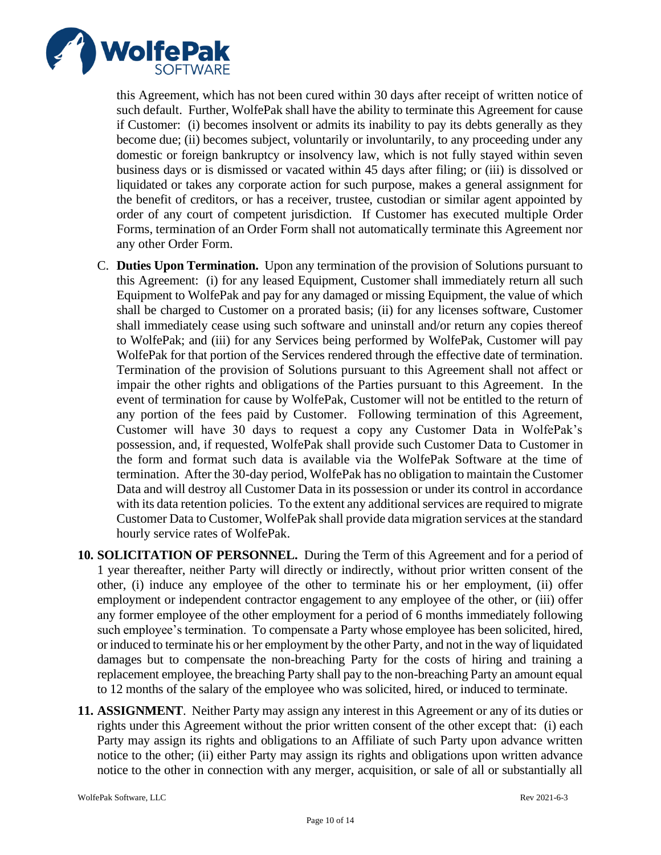

this Agreement, which has not been cured within 30 days after receipt of written notice of such default. Further, WolfePak shall have the ability to terminate this Agreement for cause if Customer: (i) becomes insolvent or admits its inability to pay its debts generally as they become due; (ii) becomes subject, voluntarily or involuntarily, to any proceeding under any domestic or foreign bankruptcy or insolvency law, which is not fully stayed within seven business days or is dismissed or vacated within 45 days after filing; or (iii) is dissolved or liquidated or takes any corporate action for such purpose, makes a general assignment for the benefit of creditors, or has a receiver, trustee, custodian or similar agent appointed by order of any court of competent jurisdiction. If Customer has executed multiple Order Forms, termination of an Order Form shall not automatically terminate this Agreement nor any other Order Form.

- C. **Duties Upon Termination.** Upon any termination of the provision of Solutions pursuant to this Agreement: (i) for any leased Equipment, Customer shall immediately return all such Equipment to WolfePak and pay for any damaged or missing Equipment, the value of which shall be charged to Customer on a prorated basis; (ii) for any licenses software, Customer shall immediately cease using such software and uninstall and/or return any copies thereof to WolfePak; and (iii) for any Services being performed by WolfePak, Customer will pay WolfePak for that portion of the Services rendered through the effective date of termination. Termination of the provision of Solutions pursuant to this Agreement shall not affect or impair the other rights and obligations of the Parties pursuant to this Agreement. In the event of termination for cause by WolfePak, Customer will not be entitled to the return of any portion of the fees paid by Customer. Following termination of this Agreement, Customer will have 30 days to request a copy any Customer Data in WolfePak's possession, and, if requested, WolfePak shall provide such Customer Data to Customer in the form and format such data is available via the WolfePak Software at the time of termination. After the 30-day period, WolfePak has no obligation to maintain the Customer Data and will destroy all Customer Data in its possession or under its control in accordance with its data retention policies. To the extent any additional services are required to migrate Customer Data to Customer, WolfePak shall provide data migration services at the standard hourly service rates of WolfePak.
- **10. SOLICITATION OF PERSONNEL.** During the Term of this Agreement and for a period of 1 year thereafter, neither Party will directly or indirectly, without prior written consent of the other, (i) induce any employee of the other to terminate his or her employment, (ii) offer employment or independent contractor engagement to any employee of the other, or (iii) offer any former employee of the other employment for a period of 6 months immediately following such employee's termination. To compensate a Party whose employee has been solicited, hired, or induced to terminate his or her employment by the other Party, and not in the way of liquidated damages but to compensate the non-breaching Party for the costs of hiring and training a replacement employee, the breaching Party shall pay to the non-breaching Party an amount equal to 12 months of the salary of the employee who was solicited, hired, or induced to terminate.
- **11. ASSIGNMENT**. Neither Party may assign any interest in this Agreement or any of its duties or rights under this Agreement without the prior written consent of the other except that: (i) each Party may assign its rights and obligations to an Affiliate of such Party upon advance written notice to the other; (ii) either Party may assign its rights and obligations upon written advance notice to the other in connection with any merger, acquisition, or sale of all or substantially all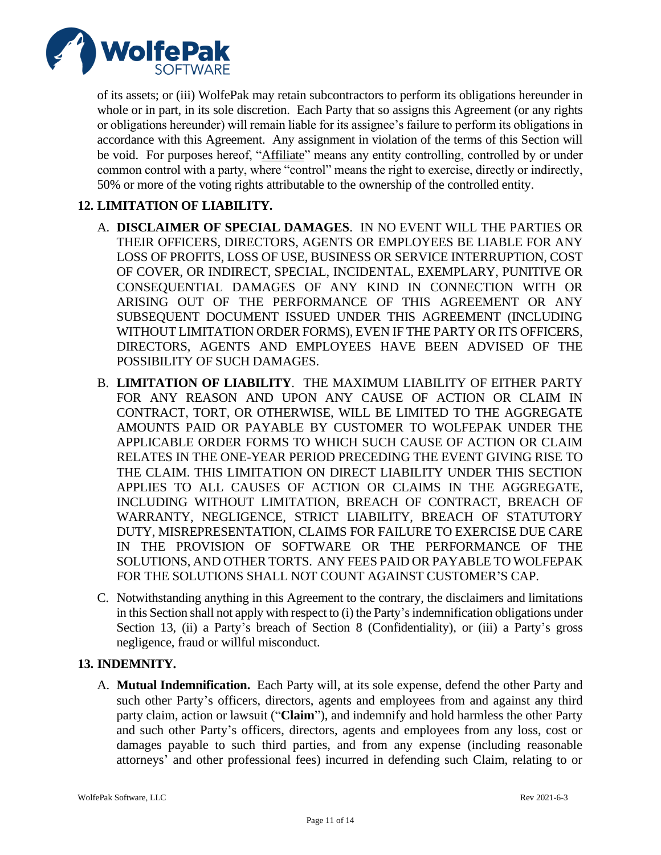

of its assets; or (iii) WolfePak may retain subcontractors to perform its obligations hereunder in whole or in part, in its sole discretion. Each Party that so assigns this Agreement (or any rights or obligations hereunder) will remain liable for its assignee's failure to perform its obligations in accordance with this Agreement. Any assignment in violation of the terms of this Section will be void. For purposes hereof, "Affiliate" means any entity controlling, controlled by or under common control with a party, where "control" means the right to exercise, directly or indirectly, 50% or more of the voting rights attributable to the ownership of the controlled entity.

# **12. LIMITATION OF LIABILITY.**

- A. **DISCLAIMER OF SPECIAL DAMAGES**. IN NO EVENT WILL THE PARTIES OR THEIR OFFICERS, DIRECTORS, AGENTS OR EMPLOYEES BE LIABLE FOR ANY LOSS OF PROFITS, LOSS OF USE, BUSINESS OR SERVICE INTERRUPTION, COST OF COVER, OR INDIRECT, SPECIAL, INCIDENTAL, EXEMPLARY, PUNITIVE OR CONSEQUENTIAL DAMAGES OF ANY KIND IN CONNECTION WITH OR ARISING OUT OF THE PERFORMANCE OF THIS AGREEMENT OR ANY SUBSEQUENT DOCUMENT ISSUED UNDER THIS AGREEMENT (INCLUDING WITHOUT LIMITATION ORDER FORMS), EVEN IF THE PARTY OR ITS OFFICERS, DIRECTORS, AGENTS AND EMPLOYEES HAVE BEEN ADVISED OF THE POSSIBILITY OF SUCH DAMAGES.
- B. **LIMITATION OF LIABILITY**. THE MAXIMUM LIABILITY OF EITHER PARTY FOR ANY REASON AND UPON ANY CAUSE OF ACTION OR CLAIM IN CONTRACT, TORT, OR OTHERWISE, WILL BE LIMITED TO THE AGGREGATE AMOUNTS PAID OR PAYABLE BY CUSTOMER TO WOLFEPAK UNDER THE APPLICABLE ORDER FORMS TO WHICH SUCH CAUSE OF ACTION OR CLAIM RELATES IN THE ONE-YEAR PERIOD PRECEDING THE EVENT GIVING RISE TO THE CLAIM. THIS LIMITATION ON DIRECT LIABILITY UNDER THIS SECTION APPLIES TO ALL CAUSES OF ACTION OR CLAIMS IN THE AGGREGATE, INCLUDING WITHOUT LIMITATION, BREACH OF CONTRACT, BREACH OF WARRANTY, NEGLIGENCE, STRICT LIABILITY, BREACH OF STATUTORY DUTY, MISREPRESENTATION, CLAIMS FOR FAILURE TO EXERCISE DUE CARE IN THE PROVISION OF SOFTWARE OR THE PERFORMANCE OF THE SOLUTIONS, AND OTHER TORTS. ANY FEES PAID OR PAYABLE TO WOLFEPAK FOR THE SOLUTIONS SHALL NOT COUNT AGAINST CUSTOMER'S CAP.
- C. Notwithstanding anything in this Agreement to the contrary, the disclaimers and limitations in this Section shall not apply with respect to (i) the Party's indemnification obligations under Section 13, (ii) a Party's breach of Section 8 (Confidentiality), or (iii) a Party's gross negligence, fraud or willful misconduct.

# **13. INDEMNITY.**

A. **Mutual Indemnification.** Each Party will, at its sole expense, defend the other Party and such other Party's officers, directors, agents and employees from and against any third party claim, action or lawsuit ("**Claim**"), and indemnify and hold harmless the other Party and such other Party's officers, directors, agents and employees from any loss, cost or damages payable to such third parties, and from any expense (including reasonable attorneys' and other professional fees) incurred in defending such Claim, relating to or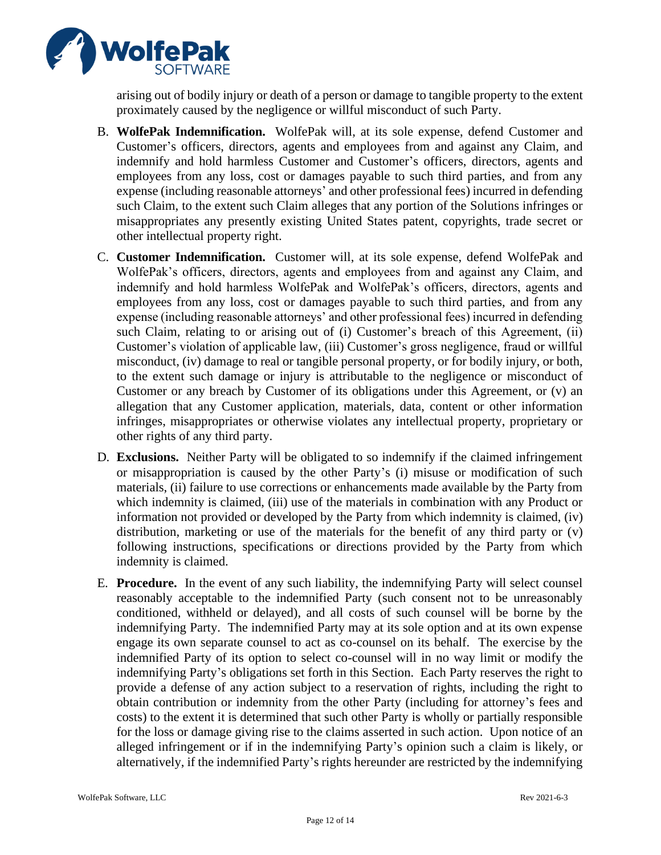

arising out of bodily injury or death of a person or damage to tangible property to the extent proximately caused by the negligence or willful misconduct of such Party.

- B. **WolfePak Indemnification.** WolfePak will, at its sole expense, defend Customer and Customer's officers, directors, agents and employees from and against any Claim, and indemnify and hold harmless Customer and Customer's officers, directors, agents and employees from any loss, cost or damages payable to such third parties, and from any expense (including reasonable attorneys' and other professional fees) incurred in defending such Claim, to the extent such Claim alleges that any portion of the Solutions infringes or misappropriates any presently existing United States patent, copyrights, trade secret or other intellectual property right.
- C. **Customer Indemnification.** Customer will, at its sole expense, defend WolfePak and WolfePak's officers, directors, agents and employees from and against any Claim, and indemnify and hold harmless WolfePak and WolfePak's officers, directors, agents and employees from any loss, cost or damages payable to such third parties, and from any expense (including reasonable attorneys' and other professional fees) incurred in defending such Claim, relating to or arising out of (i) Customer's breach of this Agreement, (ii) Customer's violation of applicable law, (iii) Customer's gross negligence, fraud or willful misconduct, (iv) damage to real or tangible personal property, or for bodily injury, or both, to the extent such damage or injury is attributable to the negligence or misconduct of Customer or any breach by Customer of its obligations under this Agreement, or (v) an allegation that any Customer application, materials, data, content or other information infringes, misappropriates or otherwise violates any intellectual property, proprietary or other rights of any third party.
- D. **Exclusions.** Neither Party will be obligated to so indemnify if the claimed infringement or misappropriation is caused by the other Party's (i) misuse or modification of such materials, (ii) failure to use corrections or enhancements made available by the Party from which indemnity is claimed, (iii) use of the materials in combination with any Product or information not provided or developed by the Party from which indemnity is claimed, (iv) distribution, marketing or use of the materials for the benefit of any third party or (v) following instructions, specifications or directions provided by the Party from which indemnity is claimed.
- E. **Procedure.** In the event of any such liability, the indemnifying Party will select counsel reasonably acceptable to the indemnified Party (such consent not to be unreasonably conditioned, withheld or delayed), and all costs of such counsel will be borne by the indemnifying Party. The indemnified Party may at its sole option and at its own expense engage its own separate counsel to act as co-counsel on its behalf. The exercise by the indemnified Party of its option to select co-counsel will in no way limit or modify the indemnifying Party's obligations set forth in this Section. Each Party reserves the right to provide a defense of any action subject to a reservation of rights, including the right to obtain contribution or indemnity from the other Party (including for attorney's fees and costs) to the extent it is determined that such other Party is wholly or partially responsible for the loss or damage giving rise to the claims asserted in such action. Upon notice of an alleged infringement or if in the indemnifying Party's opinion such a claim is likely, or alternatively, if the indemnified Party's rights hereunder are restricted by the indemnifying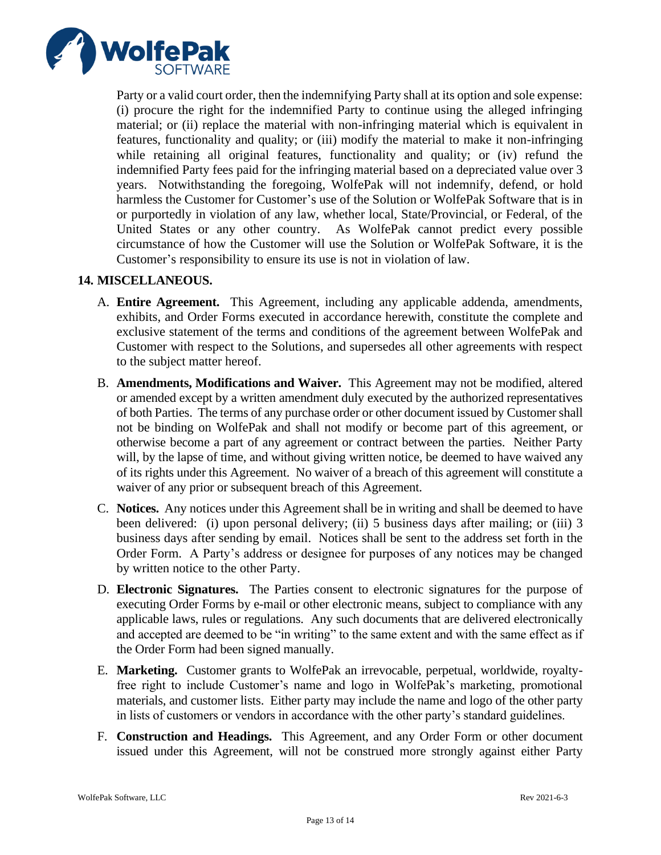

Party or a valid court order, then the indemnifying Party shall at its option and sole expense: (i) procure the right for the indemnified Party to continue using the alleged infringing material; or (ii) replace the material with non-infringing material which is equivalent in features, functionality and quality; or (iii) modify the material to make it non-infringing while retaining all original features, functionality and quality; or (iv) refund the indemnified Party fees paid for the infringing material based on a depreciated value over 3 years. Notwithstanding the foregoing, WolfePak will not indemnify, defend, or hold harmless the Customer for Customer's use of the Solution or WolfePak Software that is in or purportedly in violation of any law, whether local, State/Provincial, or Federal, of the United States or any other country. As WolfePak cannot predict every possible circumstance of how the Customer will use the Solution or WolfePak Software, it is the Customer's responsibility to ensure its use is not in violation of law.

# **14. MISCELLANEOUS.**

- A. **Entire Agreement.** This Agreement, including any applicable addenda, amendments, exhibits, and Order Forms executed in accordance herewith, constitute the complete and exclusive statement of the terms and conditions of the agreement between WolfePak and Customer with respect to the Solutions, and supersedes all other agreements with respect to the subject matter hereof.
- B. **Amendments, Modifications and Waiver.** This Agreement may not be modified, altered or amended except by a written amendment duly executed by the authorized representatives of both Parties. The terms of any purchase order or other document issued by Customershall not be binding on WolfePak and shall not modify or become part of this agreement, or otherwise become a part of any agreement or contract between the parties. Neither Party will, by the lapse of time, and without giving written notice, be deemed to have waived any of its rights under this Agreement. No waiver of a breach of this agreement will constitute a waiver of any prior or subsequent breach of this Agreement.
- C. **Notices.** Any notices under this Agreement shall be in writing and shall be deemed to have been delivered: (i) upon personal delivery; (ii) 5 business days after mailing; or (iii) 3 business days after sending by email. Notices shall be sent to the address set forth in the Order Form. A Party's address or designee for purposes of any notices may be changed by written notice to the other Party.
- D. **Electronic Signatures.** The Parties consent to electronic signatures for the purpose of executing Order Forms by e-mail or other electronic means, subject to compliance with any applicable laws, rules or regulations. Any such documents that are delivered electronically and accepted are deemed to be "in writing" to the same extent and with the same effect as if the Order Form had been signed manually.
- E. **Marketing.** Customer grants to WolfePak an irrevocable, perpetual, worldwide, royaltyfree right to include Customer's name and logo in WolfePak's marketing, promotional materials, and customer lists. Either party may include the name and logo of the other party in lists of customers or vendors in accordance with the other party's standard guidelines.
- F. **Construction and Headings.** This Agreement, and any Order Form or other document issued under this Agreement, will not be construed more strongly against either Party